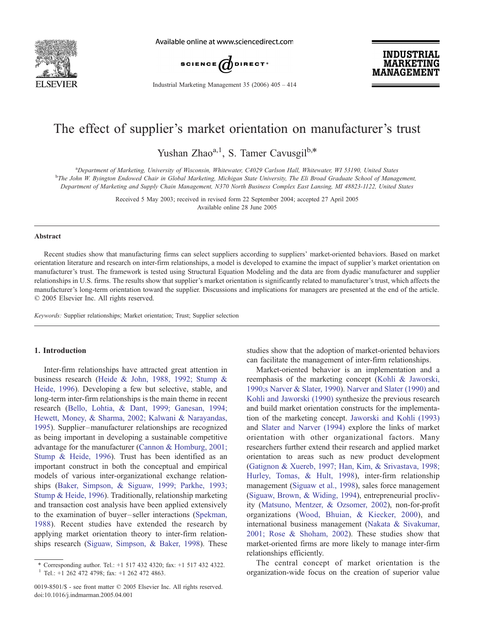

Available online at www.sciencedirect.com



**INDUSTRIAL MARKETING MANAGEMENT** 

Industrial Marketing Management 35 (2006) 405 – 414

## The effect of supplier's market orientation on manufacturer's trust

Yushan Zhao $a,1}$ , S. Tamer Cavusgil $b.*$ 

a Department of Marketing, University of Wisconsin, Whitewater, C4029 Carlson Hall, Whitewater, WI 53190, United States b The John W. Byington Endowed Chair in Global Marketing, Michigan State University, The Eli Broad Graduate School of Management, Department of Marketing and Supply Chain Management, N370 North Business Complex East Lansing, MI 48823-1122, United States

> Received 5 May 2003; received in revised form 22 September 2004; accepted 27 April 2005 Available online 28 June 2005

#### Abstract

Recent studies show that manufacturing firms can select suppliers according to suppliers' market-oriented behaviors. Based on market orientation literature and research on inter-firm relationships, a model is developed to examine the impact of supplier's market orientation on manufacturer's trust. The framework is tested using Structural Equation Modeling and the data are from dyadic manufacturer and supplier relationships in U.S. firms. The results show that supplier's market orientation is significantly related to manufacturer's trust, which affects the manufacturer's long-term orientation toward the supplier. Discussions and implications for managers are presented at the end of the article.  $© 2005 Elsevier Inc. All rights reserved.$ 

Keywords: Supplier relationships; Market orientation; Trust; Supplier selection

### 1. Introduction

Inter-firm relationships have attracted great attention in business research ([Heide & John, 1988, 1992; Stump &](#page--1-0) Heide, 1996). Developing a few but selective, stable, and long-term inter-firm relationships is the main theme in recent research [\(Bello, Lohtia, & Dant, 1999; Ganesan, 1994;](#page--1-0) Hewett, Money, & Sharma, 2002; Kalwani & Narayandas, 1995). Supplier –manufacturer relationships are recognized as being important in developing a sustainable competitive advantage for the manufacturer ([Cannon & Homburg, 2001;](#page--1-0) Stump & Heide, 1996). Trust has been identified as an important construct in both the conceptual and empirical models of various inter-organizational exchange relationships ([Baker, Simpson, & Siguaw, 1999; Parkhe, 1993;](#page--1-0) Stump & Heide, 1996). Traditionally, relationship marketing and transaction cost analysis have been applied extensively to the examination of buyer – seller interactions ([Spekman,](#page--1-0) 1988). Recent studies have extended the research by applying market orientation theory to inter-firm relationships research ([Siguaw, Simpson, & Baker, 1998\)](#page--1-0). These

studies show that the adoption of market-oriented behaviors can facilitate the management of inter-firm relationships.

Market-oriented behavior is an implementation and a reemphasis of the marketing concept ([Kohli & Jaworski,](#page--1-0) 1990;s Narver & Slater, 1990). [Narver and Slater \(1990\)](#page--1-0) and [Kohli and Jaworski \(1990\)](#page--1-0) synthesize the previous research and build market orientation constructs for the implementation of the marketing concept. [Jaworski and Kohli \(1993\)](#page--1-0) and [Slater and Narver \(1994\)](#page--1-0) explore the links of market orientation with other organizational factors. Many researchers further extend their research and applied market orientation to areas such as new product development ([Gatignon & Xuereb, 1997; Han, Kim, & Srivastava, 1998;](#page--1-0) Hurley, Tomas, & Hult, 1998), inter-firm relationship management ([Siguaw et al., 1998\)](#page--1-0), sales force management ([Siguaw, Brown, & Widing, 1994\)](#page--1-0), entrepreneurial proclivity ([Matsuno, Mentzer, & Ozsomer, 2002\)](#page--1-0), non-for-profit organizations ([Wood, Bhuian, & Kiecker, 2000\)](#page--1-0), and international business management ([Nakata & Sivakumar,](#page--1-0) 2001; Rose & Shoham, 2002). These studies show that market-oriented firms are more likely to manage inter-firm relationships efficiently.

The central concept of market orientation is the organization-wide focus on the creation of superior value

<sup>\*</sup> Corresponding author. Tel.: +1 517 432 4320; fax: +1 517 432 4322. <sup>1</sup> Tel.: +1 262 472 4798; fax: +1 262 472 4863.

<sup>0019-8501/\$ -</sup> see front matter © 2005 Elsevier Inc. All rights reserved. doi:10.1016/j.indmarman.2005.04.001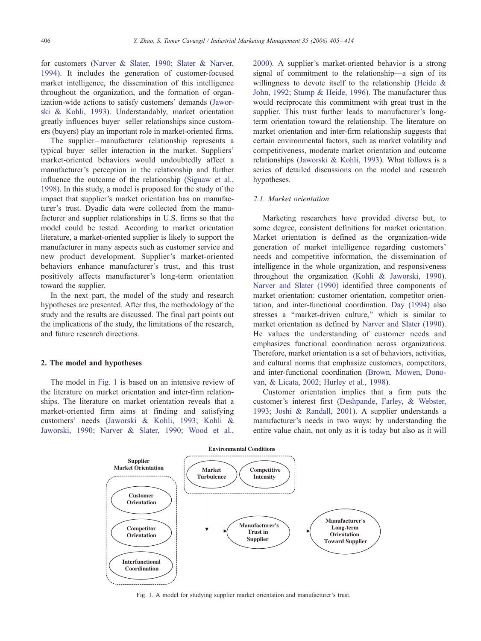for customers [\(Narver & Slater, 1990; Slater & Narve](#page--1-0)r, 1994). It includes the generation of customer-focused market intelligence, the dissemination of this intelligence throughout the organization, and the formation of organization-wide actions to satisfy customers' demand[s \(Jawo](#page--1-0)rski & Kohli, 1993). Understandably, market orientation greatly influences buyer – seller relationships since customers (buyers) play an important role in market-oriented firms.

The supplier-manufacturer relationship represents a typical buyer – seller interaction in the market. Suppliers' market-oriented behaviors would undoubtedly affect a manufacturer's perception in the relationship and further influence the outcome of the relationship [\(Siguaw et al](#page--1-0)., 1998). In this study, a model is proposed for the study of the impact that supplier's market orientation has on manufacturer's trust. Dyadic data were collected from the manufacturer and supplier relationships in U.S. firms so that the model could be tested. According to market orientation literature, a market-oriented supplier is likely to support the manufacturer in many aspects such as customer service and new product development. Supplier's market-oriented behaviors enhance manufacturer's trust, and this trust positively affects manufacturer's long-term orientation toward the supplier.

In the next part, the model of the study and research hypotheses are presented. After this, the methodology of the study and the results are discussed. The final part points out the implications of the study, the limitations of the research, and future research directions.

#### 2. The model and hypotheses

The model in Fig. 1 is based on an intensive review of the literature on market orientation and inter-firm relationships. The literature on market orientation reveals that a market-oriented firm aims at finding and satisfying customers' needs [\(Jaworski & Kohli, 1993; Kohli &](#page--1-0) Jaworski, 1990; Narver & Slater, 1990; Wood et al.,

2000). A supplier's market-oriented behavior is a strong signal of commitment to the relationship—a sign of its willingness to devote itself to the relationship [\(Heide &](#page--1-0) John, 1992; Stump & Heide, 1996). The manufacturer thus would reciprocate this commitment with great trust in the supplier. This trust further leads to manufacturer's longterm orientation toward the relationship. The literature on market orientation and inter-firm relationship suggests that certain environmental factors, such as market volatility and competitiveness, moderate market orientation and outcome relationship[s \(Jaworski & Kohli, 199](#page--1-0)3). What follows is a series of detailed discussions on the model and research hypotheses.

#### 2.1. Market orientation

Marketing researchers have provided diverse but, to some degree, consistent definitions for market orientation. Market orientation is defined as the organization-wide generation of market intelligence regarding customers' needs and competitive information, the dissemination of intelligence in the whole organization, and responsiveness throughout the organization [\(Kohli & Jaworski, 199](#page--1-0)0). [Narver and Slater \(1990](#page--1-0)) identified three components of market orientation: customer orientation, competitor orientation, and inter-functional coordination. [Day \(1994](#page--1-0)) also stresses a "market-driven culture," which is similar to market orientation as defined by [Narver and Slater \(1990](#page--1-0)). He values the understanding of customer needs and emphasizes functional coordination across organizations. Therefore, market orientation is a set of behaviors, activities, and cultural norms that emphasize customers, competitors, and inter-functional coordination [\(Brown, Mowen, Dono](#page--1-0)van, & Licata, 2002; Hurley et al., 1998).

Customer orientation implies that a firm puts the customer's interest first [\(Deshpande, Farley, & Webste](#page--1-0)r, 1993; Joshi & Randall, 2001). A supplier understands a manufacturer's needs in two ways: by understanding the entire value chain, not only as it is today but also as it will



Fig. 1. A model for studying supplier market orientation and manufacturer's trust.